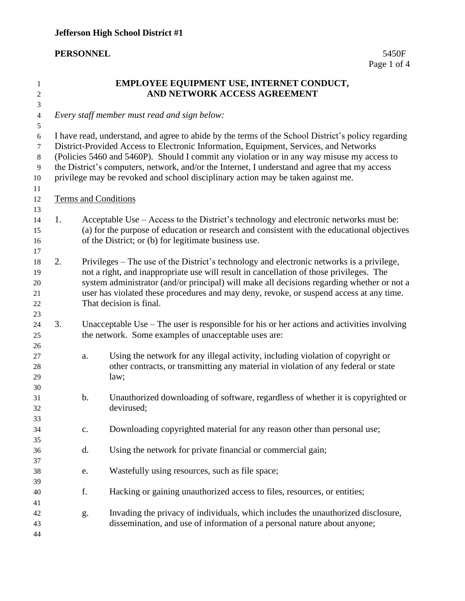# **Jefferson High School District #1**

#### **PERSONNEL**

| 1<br>$\mathbf{2}$                                   |                                                                                                                                                                                                                                                                                                                                                                                                                                                                                |                                                                                                                                                                                                                                                                                                                                                                                                          | EMPLOYEE EQUIPMENT USE, INTERNET CONDUCT,<br>AND NETWORK ACCESS AGREEMENT                                                                                                     |  |  |  |  |  |
|-----------------------------------------------------|--------------------------------------------------------------------------------------------------------------------------------------------------------------------------------------------------------------------------------------------------------------------------------------------------------------------------------------------------------------------------------------------------------------------------------------------------------------------------------|----------------------------------------------------------------------------------------------------------------------------------------------------------------------------------------------------------------------------------------------------------------------------------------------------------------------------------------------------------------------------------------------------------|-------------------------------------------------------------------------------------------------------------------------------------------------------------------------------|--|--|--|--|--|
| 3<br>$\overline{4}$                                 | Every staff member must read and sign below:                                                                                                                                                                                                                                                                                                                                                                                                                                   |                                                                                                                                                                                                                                                                                                                                                                                                          |                                                                                                                                                                               |  |  |  |  |  |
| 5<br>$\boldsymbol{6}$<br>$\tau$<br>$8\,$<br>9<br>10 | I have read, understand, and agree to abide by the terms of the School District's policy regarding<br>District-Provided Access to Electronic Information, Equipment, Services, and Networks<br>(Policies 5460 and 5460P). Should I commit any violation or in any way misuse my access to<br>the District's computers, network, and/or the Internet, I understand and agree that my access<br>privilege may be revoked and school disciplinary action may be taken against me. |                                                                                                                                                                                                                                                                                                                                                                                                          |                                                                                                                                                                               |  |  |  |  |  |
| 11<br>12                                            | <b>Terms and Conditions</b>                                                                                                                                                                                                                                                                                                                                                                                                                                                    |                                                                                                                                                                                                                                                                                                                                                                                                          |                                                                                                                                                                               |  |  |  |  |  |
| 13<br>14<br>15<br>16                                | 1.<br>Acceptable Use – Access to the District's technology and electronic networks must be:<br>(a) for the purpose of education or research and consistent with the educational objectives<br>of the District; or (b) for legitimate business use.                                                                                                                                                                                                                             |                                                                                                                                                                                                                                                                                                                                                                                                          |                                                                                                                                                                               |  |  |  |  |  |
| 17<br>18<br>19<br>20<br>21<br>22                    | 2.                                                                                                                                                                                                                                                                                                                                                                                                                                                                             | Privileges – The use of the District's technology and electronic networks is a privilege,<br>not a right, and inappropriate use will result in cancellation of those privileges. The<br>system administrator (and/or principal) will make all decisions regarding whether or not a<br>user has violated these procedures and may deny, revoke, or suspend access at any time.<br>That decision is final. |                                                                                                                                                                               |  |  |  |  |  |
| 23<br>24<br>25<br>26                                | 3.                                                                                                                                                                                                                                                                                                                                                                                                                                                                             |                                                                                                                                                                                                                                                                                                                                                                                                          | Unacceptable Use – The user is responsible for his or her actions and activities involving<br>the network. Some examples of unacceptable uses are:                            |  |  |  |  |  |
| 27<br>28<br>29<br>30                                |                                                                                                                                                                                                                                                                                                                                                                                                                                                                                | a.                                                                                                                                                                                                                                                                                                                                                                                                       | Using the network for any illegal activity, including violation of copyright or<br>other contracts, or transmitting any material in violation of any federal or state<br>law; |  |  |  |  |  |
| 31<br>32<br>33                                      |                                                                                                                                                                                                                                                                                                                                                                                                                                                                                | $\mathbf b$ .                                                                                                                                                                                                                                                                                                                                                                                            | Unauthorized downloading of software, regardless of whether it is copyrighted or<br>devirused;                                                                                |  |  |  |  |  |
| 34<br>35                                            |                                                                                                                                                                                                                                                                                                                                                                                                                                                                                | $\mathbf{C}$ .                                                                                                                                                                                                                                                                                                                                                                                           | Downloading copyrighted material for any reason other than personal use;                                                                                                      |  |  |  |  |  |
| 36<br>37                                            |                                                                                                                                                                                                                                                                                                                                                                                                                                                                                | d.                                                                                                                                                                                                                                                                                                                                                                                                       | Using the network for private financial or commercial gain;                                                                                                                   |  |  |  |  |  |
| 38<br>39                                            |                                                                                                                                                                                                                                                                                                                                                                                                                                                                                | e.                                                                                                                                                                                                                                                                                                                                                                                                       | Wastefully using resources, such as file space;                                                                                                                               |  |  |  |  |  |
| 40<br>41                                            |                                                                                                                                                                                                                                                                                                                                                                                                                                                                                | f.                                                                                                                                                                                                                                                                                                                                                                                                       | Hacking or gaining unauthorized access to files, resources, or entities;                                                                                                      |  |  |  |  |  |
| 42<br>43<br>44                                      |                                                                                                                                                                                                                                                                                                                                                                                                                                                                                | g.                                                                                                                                                                                                                                                                                                                                                                                                       | Invading the privacy of individuals, which includes the unauthorized disclosure,<br>dissemination, and use of information of a personal nature about anyone;                  |  |  |  |  |  |

 $5450F$  Page 1 of 4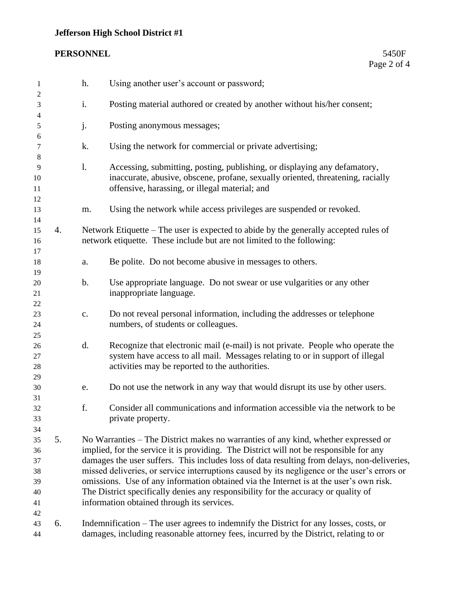## **Jefferson High School District #1**

#### **PERSONNEL** 5450F

| 1                                            |    | h.             | Using another user's account or password;                                                                                                                                                                                                                                                                                                                                                                                                                                                                                                                                                                 |
|----------------------------------------------|----|----------------|-----------------------------------------------------------------------------------------------------------------------------------------------------------------------------------------------------------------------------------------------------------------------------------------------------------------------------------------------------------------------------------------------------------------------------------------------------------------------------------------------------------------------------------------------------------------------------------------------------------|
| 2<br>3                                       |    | i.             | Posting material authored or created by another without his/her consent;                                                                                                                                                                                                                                                                                                                                                                                                                                                                                                                                  |
| 4<br>5                                       |    | j.             | Posting anonymous messages;                                                                                                                                                                                                                                                                                                                                                                                                                                                                                                                                                                               |
| 6<br>7<br>8                                  |    | k.             | Using the network for commercial or private advertising;                                                                                                                                                                                                                                                                                                                                                                                                                                                                                                                                                  |
| 9<br>10<br>11<br>12                          |    | 1.             | Accessing, submitting, posting, publishing, or displaying any defamatory,<br>inaccurate, abusive, obscene, profane, sexually oriented, threatening, racially<br>offensive, harassing, or illegal material; and                                                                                                                                                                                                                                                                                                                                                                                            |
| 13                                           |    | m.             | Using the network while access privileges are suspended or revoked.                                                                                                                                                                                                                                                                                                                                                                                                                                                                                                                                       |
| 14<br>15<br>16                               | 4. |                | Network Etiquette – The user is expected to abide by the generally accepted rules of<br>network etiquette. These include but are not limited to the following:                                                                                                                                                                                                                                                                                                                                                                                                                                            |
| 17<br>18<br>19                               |    | a.             | Be polite. Do not become abusive in messages to others.                                                                                                                                                                                                                                                                                                                                                                                                                                                                                                                                                   |
| 20<br>21<br>22                               |    | $\mathbf b$ .  | Use appropriate language. Do not swear or use vulgarities or any other<br>inappropriate language.                                                                                                                                                                                                                                                                                                                                                                                                                                                                                                         |
| 23<br>24<br>25                               |    | $\mathbf{c}$ . | Do not reveal personal information, including the addresses or telephone<br>numbers, of students or colleagues.                                                                                                                                                                                                                                                                                                                                                                                                                                                                                           |
| 26<br>27<br>28                               |    | d.             | Recognize that electronic mail (e-mail) is not private. People who operate the<br>system have access to all mail. Messages relating to or in support of illegal<br>activities may be reported to the authorities.                                                                                                                                                                                                                                                                                                                                                                                         |
| 29<br>30<br>31                               |    | e.             | Do not use the network in any way that would disrupt its use by other users.                                                                                                                                                                                                                                                                                                                                                                                                                                                                                                                              |
| 32<br>33<br>34                               |    | f.             | Consider all communications and information accessible via the network to be<br>private property.                                                                                                                                                                                                                                                                                                                                                                                                                                                                                                         |
| 35<br>36<br>37<br>38<br>39<br>40<br>41<br>42 | 5. |                | No Warranties – The District makes no warranties of any kind, whether expressed or<br>implied, for the service it is providing. The District will not be responsible for any<br>damages the user suffers. This includes loss of data resulting from delays, non-deliveries,<br>missed deliveries, or service interruptions caused by its negligence or the user's errors or<br>omissions. Use of any information obtained via the Internet is at the user's own risk.<br>The District specifically denies any responsibility for the accuracy or quality of<br>information obtained through its services. |
| 43<br>44                                     | 6. |                | Indemnification – The user agrees to indemnify the District for any losses, costs, or<br>damages, including reasonable attorney fees, incurred by the District, relating to or                                                                                                                                                                                                                                                                                                                                                                                                                            |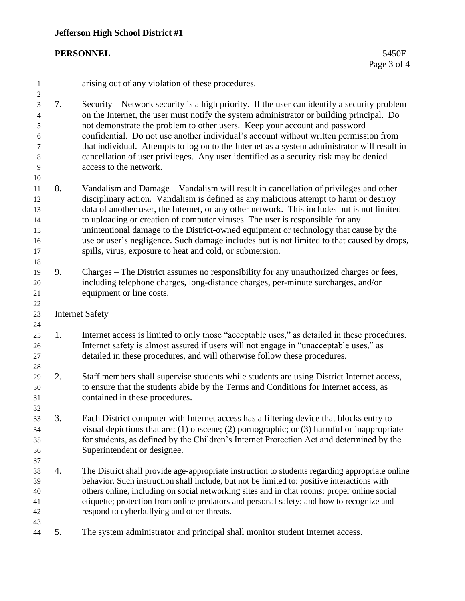## **Jefferson High School District #1**

### **PERSONNEL**

 $5450F$  Page 3 of 4

| $\mathbf{1}$        |    | arising out of any violation of these procedures.                                                                                                      |
|---------------------|----|--------------------------------------------------------------------------------------------------------------------------------------------------------|
| $\overline{2}$<br>3 | 7. | Security – Network security is a high priority. If the user can identify a security problem                                                            |
| $\overline{4}$      |    | on the Internet, the user must notify the system administrator or building principal. Do                                                               |
| 5                   |    | not demonstrate the problem to other users. Keep your account and password                                                                             |
| 6                   |    | confidential. Do not use another individual's account without written permission from                                                                  |
| 7                   |    | that individual. Attempts to log on to the Internet as a system administrator will result in                                                           |
| 8                   |    | cancellation of user privileges. Any user identified as a security risk may be denied                                                                  |
| 9                   |    | access to the network.                                                                                                                                 |
| 10                  |    |                                                                                                                                                        |
| 11                  | 8. | Vandalism and Damage – Vandalism will result in cancellation of privileges and other                                                                   |
| 12                  |    | disciplinary action. Vandalism is defined as any malicious attempt to harm or destroy                                                                  |
| 13                  |    | data of another user, the Internet, or any other network. This includes but is not limited                                                             |
| 14                  |    | to uploading or creation of computer viruses. The user is responsible for any                                                                          |
| 15                  |    | unintentional damage to the District-owned equipment or technology that cause by the                                                                   |
| 16                  |    | use or user's negligence. Such damage includes but is not limited to that caused by drops,<br>spills, virus, exposure to heat and cold, or submersion. |
| 17<br>18            |    |                                                                                                                                                        |
| 19                  | 9. | Charges – The District assumes no responsibility for any unauthorized charges or fees,                                                                 |
| 20                  |    | including telephone charges, long-distance charges, per-minute surcharges, and/or                                                                      |
| 21                  |    | equipment or line costs.                                                                                                                               |
| 22                  |    |                                                                                                                                                        |
| 23                  |    | <b>Internet Safety</b>                                                                                                                                 |
| 24                  |    |                                                                                                                                                        |
| 25                  | 1. | Internet access is limited to only those "acceptable uses," as detailed in these procedures.                                                           |
| 26                  |    | Internet safety is almost assured if users will not engage in "unacceptable uses," as                                                                  |
| 27                  |    | detailed in these procedures, and will otherwise follow these procedures.                                                                              |
| 28                  |    |                                                                                                                                                        |
| 29                  | 2. | Staff members shall supervise students while students are using District Internet access,                                                              |
| 30                  |    | to ensure that the students abide by the Terms and Conditions for Internet access, as                                                                  |
| 31                  |    | contained in these procedures.                                                                                                                         |
| 32                  |    |                                                                                                                                                        |
| 33                  | 3. | Each District computer with Internet access has a filtering device that blocks entry to                                                                |
| 34                  |    | visual depictions that are: (1) obscene; (2) pornographic; or (3) harmful or inappropriate                                                             |
| 35                  |    | for students, as defined by the Children's Internet Protection Act and determined by the                                                               |
| 36                  |    | Superintendent or designee.                                                                                                                            |
| 37                  |    |                                                                                                                                                        |
| 38                  | 4. | The District shall provide age-appropriate instruction to students regarding appropriate online                                                        |
| 39                  |    | behavior. Such instruction shall include, but not be limited to: positive interactions with                                                            |
| 40                  |    | others online, including on social networking sites and in chat rooms; proper online social                                                            |
| 41                  |    | etiquette; protection from online predators and personal safety; and how to recognize and                                                              |
| 42                  |    | respond to cyberbullying and other threats.                                                                                                            |
| 43<br>44            | 5. | The system administrator and principal shall monitor student Internet access.                                                                          |
|                     |    |                                                                                                                                                        |